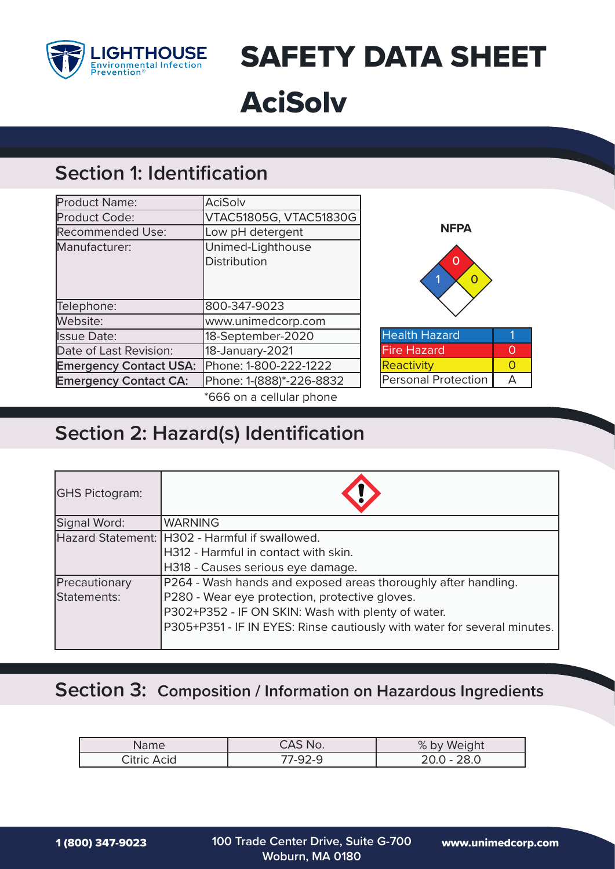

SAFETY DATA SHEET AciSolv

## **Section 1: Identification**

| Product Name:                 | <b>AciSolv</b>           |
|-------------------------------|--------------------------|
| Product Code:                 | VTAC51805G, VTAC51830G   |
| <b>Recommended Use:</b>       | Low pH detergent         |
| Manufacturer:                 | Unimed-Lighthouse        |
|                               | <b>Distribution</b>      |
|                               |                          |
|                               |                          |
| Telephone:                    | 800-347-9023             |
| Website:                      | www.unimedcorp.com       |
| <b>Issue Date:</b>            | 18-September-2020        |
| Date of Last Revision:        | 18-January-2021          |
| <b>Emergency Contact USA:</b> | Phone: 1-800-222-1222    |
| <b>Emergency Contact CA:</b>  | Phone: 1-(888)*-226-8832 |
|                               | *666 on a cellular phone |



# **Section 2: Hazard(s) Identification**

| <b>GHS Pictogram:</b> |                                                                          |
|-----------------------|--------------------------------------------------------------------------|
| Signal Word:          | <b>WARNING</b>                                                           |
|                       | Hazard Statement: H302 - Harmful if swallowed.                           |
|                       | H312 - Harmful in contact with skin.                                     |
|                       | H318 - Causes serious eye damage.                                        |
| Precautionary         | P264 - Wash hands and exposed areas thoroughly after handling.           |
| Statements:           | P280 - Wear eye protection, protective gloves.                           |
|                       | P302+P352 - IF ON SKIN: Wash with plenty of water.                       |
|                       | P305+P351 - IF IN EYES: Rinse cautiously with water for several minutes. |
|                       |                                                                          |

#### **Section 3: Composition / Information on Hazardous Ingredients**

| Name           | $\Lambda$ $\cap$ $\Lambda$ $\Gamma$<br>NO.<br>◡┌◟ | %<br>Weigh'<br>bv |
|----------------|---------------------------------------------------|-------------------|
| Citric<br>Acid | <u>ຳດລຸດ</u><br>7-47-4<br>ت<br>_                  | ററ റ              |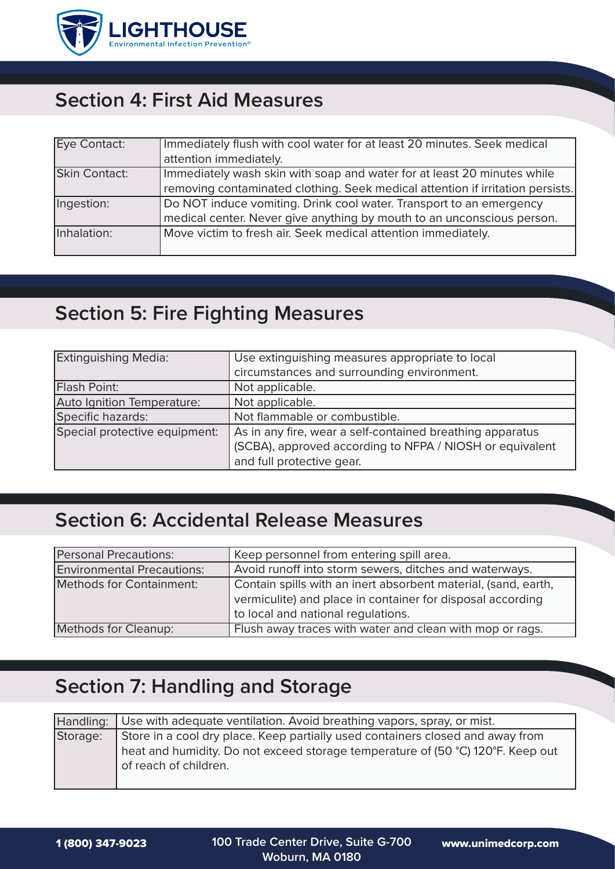

# **Section 4: First Aid Measures**

| Eye Contact:         | Immediately flush with cool water for at least 20 minutes. Seek medical        |
|----------------------|--------------------------------------------------------------------------------|
|                      | attention immediately.                                                         |
| <b>Skin Contact:</b> | Immediately wash skin with soap and water for at least 20 minutes while        |
|                      | removing contaminated clothing. Seek medical attention if irritation persists. |
| Ingestion:           | Do NOT induce vomiting. Drink cool water. Transport to an emergency            |
|                      | medical center. Never give anything by mouth to an unconscious person.         |
| Inhalation:          | Move victim to fresh air. Seek medical attention immediately.                  |
|                      |                                                                                |

## **Section 5: Fire Fighting Measures**

| <b>Extinguishing Media:</b>   | Use extinguishing measures appropriate to local           |  |
|-------------------------------|-----------------------------------------------------------|--|
|                               | circumstances and surrounding environment.                |  |
| Flash Point:                  | Not applicable.                                           |  |
| Auto Ignition Temperature:    | Not applicable.                                           |  |
| Specific hazards:             | Not flammable or combustible.                             |  |
| Special protective equipment: | As in any fire, wear a self-contained breathing apparatus |  |
|                               | (SCBA), approved according to NFPA / NIOSH or equivalent  |  |
|                               | and full protective gear.                                 |  |

# **Section 6: Accidental Release Measures**

| <b>Personal Precautions:</b>      | Keep personnel from entering spill area.                       |
|-----------------------------------|----------------------------------------------------------------|
| <b>Environmental Precautions:</b> | Avoid runoff into storm sewers, ditches and waterways.         |
| Methods for Containment:          | Contain spills with an inert absorbent material, (sand, earth, |
|                                   | vermiculite) and place in container for disposal according     |
|                                   | to local and national regulations.                             |
| Methods for Cleanup:              | Flush away traces with water and clean with mop or rags.       |

# **Section 7: Handling and Storage**

|          | Handling: Use with adequate ventilation. Avoid breathing vapors, spray, or mist.                                                                                                           |
|----------|--------------------------------------------------------------------------------------------------------------------------------------------------------------------------------------------|
| Storage: | Store in a cool dry place. Keep partially used containers closed and away from<br>heat and humidity. Do not exceed storage temperature of (50 °C) 120°F. Keep out<br>of reach of children. |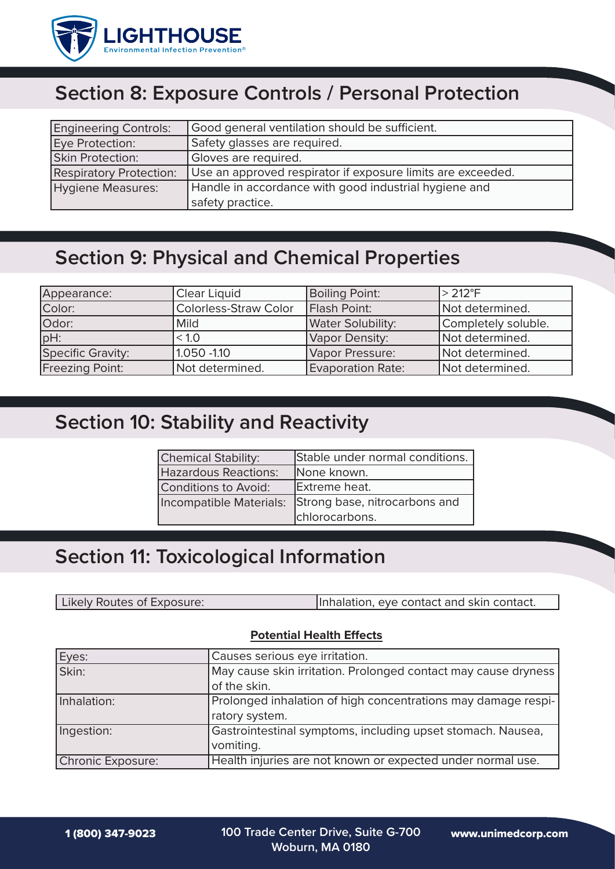

# **Section 8: Exposure Controls / Personal Protection**

| <b>Engineering Controls:</b>   | Good general ventilation should be sufficient.              |  |
|--------------------------------|-------------------------------------------------------------|--|
| Eye Protection:                | Safety glasses are required.                                |  |
| Skin Protection:               | Gloves are required.                                        |  |
| <b>Respiratory Protection:</b> | Use an approved respirator if exposure limits are exceeded. |  |
| Hygiene Measures:              | Handle in accordance with good industrial hygiene and       |  |
|                                | safety practice.                                            |  |

# **Section 9: Physical and Chemical Properties**

| Appearance:            | <b>Clear Liquid</b>          | <b>Boiling Point:</b>    | $>212^{\circ}F$     |
|------------------------|------------------------------|--------------------------|---------------------|
| Color:                 | <b>Colorless-Straw Color</b> | Flash Point:             | Not determined.     |
| Odor:                  | <b>Mild</b>                  | <b>Water Solubility:</b> | Completely soluble. |
| $pH$ :                 | < 1.0                        | Vapor Density:           | Not determined.     |
| Specific Gravity:      | 1.050 -1.10                  | Vapor Pressure:          | Not determined.     |
| <b>Freezing Point:</b> | Not determined.              | <b>Evaporation Rate:</b> | Not determined.     |

#### **Section 10: Stability and Reactivity**

| <b>Chemical Stability:</b> | Stable under normal conditions. |
|----------------------------|---------------------------------|
| Hazardous Reactions:       | None known.                     |
| Conditions to Avoid:       | Extreme heat.                   |
| Incompatible Materials:    | Strong base, nitrocarbons and   |
|                            | chlorocarbons.                  |

## **Section 11: Toxicological Information**

Inhalation, eye contact and skin contact. Likely Routes of Exposure:

#### **Potential Health Effects**

| Eyes:             | Causes serious eye irritation.                                 |
|-------------------|----------------------------------------------------------------|
| Skin:             | May cause skin irritation. Prolonged contact may cause dryness |
|                   | of the skin.                                                   |
| Inhalation:       | Prolonged inhalation of high concentrations may damage respi-  |
|                   | ratory system.                                                 |
| Ingestion:        | Gastrointestinal symptoms, including upset stomach. Nausea,    |
|                   | vomiting.                                                      |
| Chronic Exposure: | Health injuries are not known or expected under normal use.    |